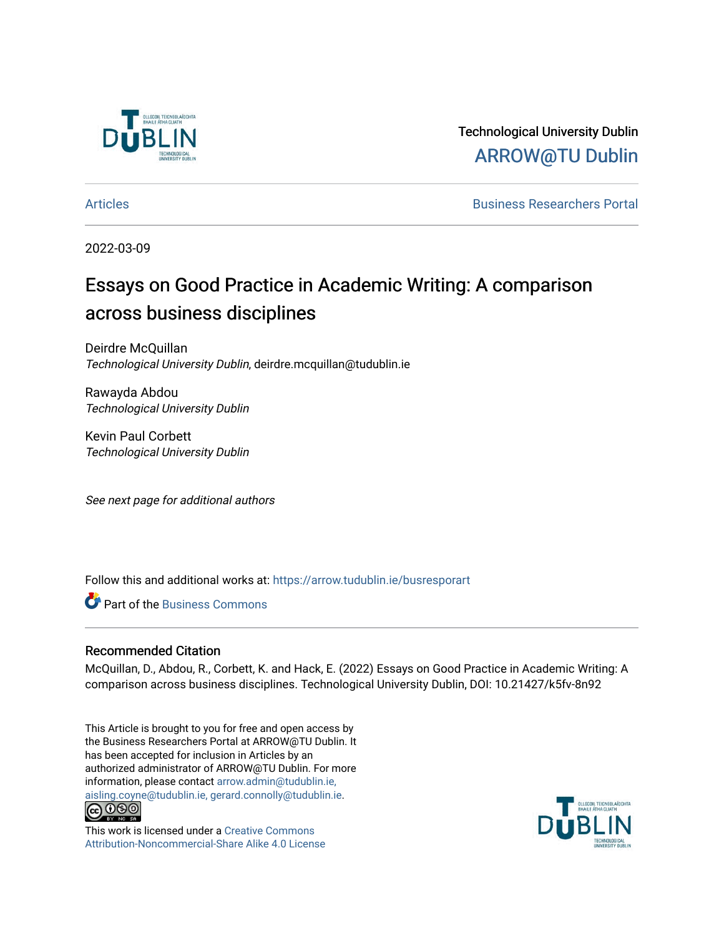

Technological University Dublin [ARROW@TU Dublin](https://arrow.tudublin.ie/) 

[Articles](https://arrow.tudublin.ie/busresporart) [Business Researchers Portal](https://arrow.tudublin.ie/busrespor) 

2022-03-09

# Essays on Good Practice in Academic Writing: A comparison across business disciplines

Deirdre McQuillan Technological University Dublin, deirdre.mcquillan@tudublin.ie

Rawayda Abdou Technological University Dublin

Kevin Paul Corbett Technological University Dublin

See next page for additional authors

Follow this and additional works at: [https://arrow.tudublin.ie/busresporart](https://arrow.tudublin.ie/busresporart?utm_source=arrow.tudublin.ie%2Fbusresporart%2F4&utm_medium=PDF&utm_campaign=PDFCoverPages) 

**C** Part of the [Business Commons](http://network.bepress.com/hgg/discipline/622?utm_source=arrow.tudublin.ie%2Fbusresporart%2F4&utm_medium=PDF&utm_campaign=PDFCoverPages)

#### Recommended Citation

McQuillan, D., Abdou, R., Corbett, K. and Hack, E. (2022) Essays on Good Practice in Academic Writing: A comparison across business disciplines. Technological University Dublin, DOI: 10.21427/k5fv-8n92

This Article is brought to you for free and open access by the Business Researchers Portal at ARROW@TU Dublin. It has been accepted for inclusion in Articles by an authorized administrator of ARROW@TU Dublin. For more information, please contact [arrow.admin@tudublin.ie,](mailto:arrow.admin@tudublin.ie,%20aisling.coyne@tudublin.ie,%20gerard.connolly@tudublin.ie)  [aisling.coyne@tudublin.ie, gerard.connolly@tudublin.ie](mailto:arrow.admin@tudublin.ie,%20aisling.coyne@tudublin.ie,%20gerard.connolly@tudublin.ie).<br>
co 000



This work is licensed under a [Creative Commons](http://creativecommons.org/licenses/by-nc-sa/4.0/) [Attribution-Noncommercial-Share Alike 4.0 License](http://creativecommons.org/licenses/by-nc-sa/4.0/)

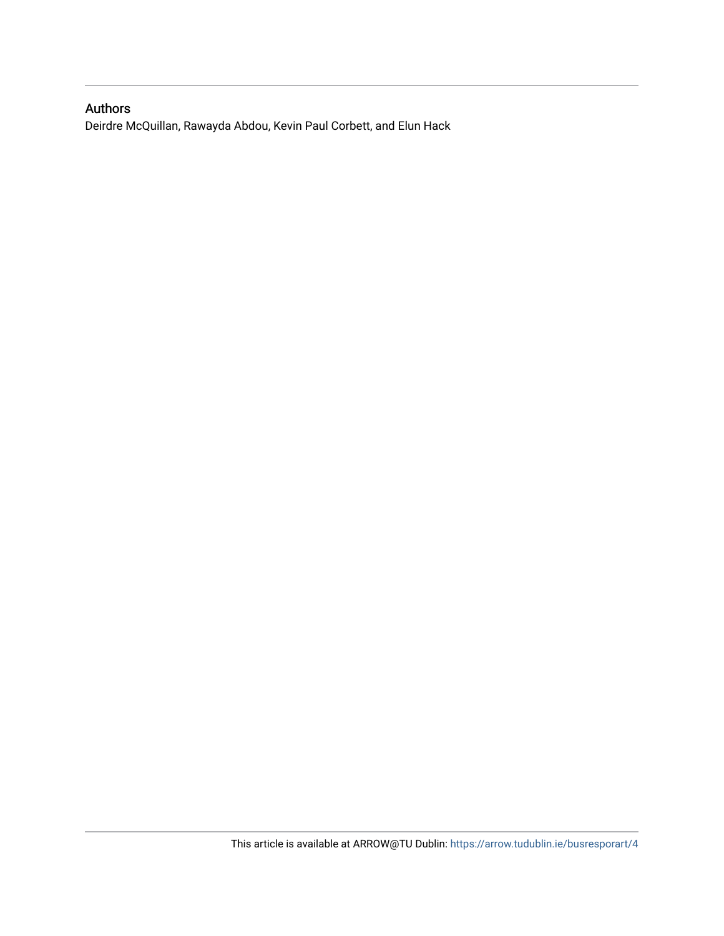### Authors

Deirdre McQuillan, Rawayda Abdou, Kevin Paul Corbett, and Elun Hack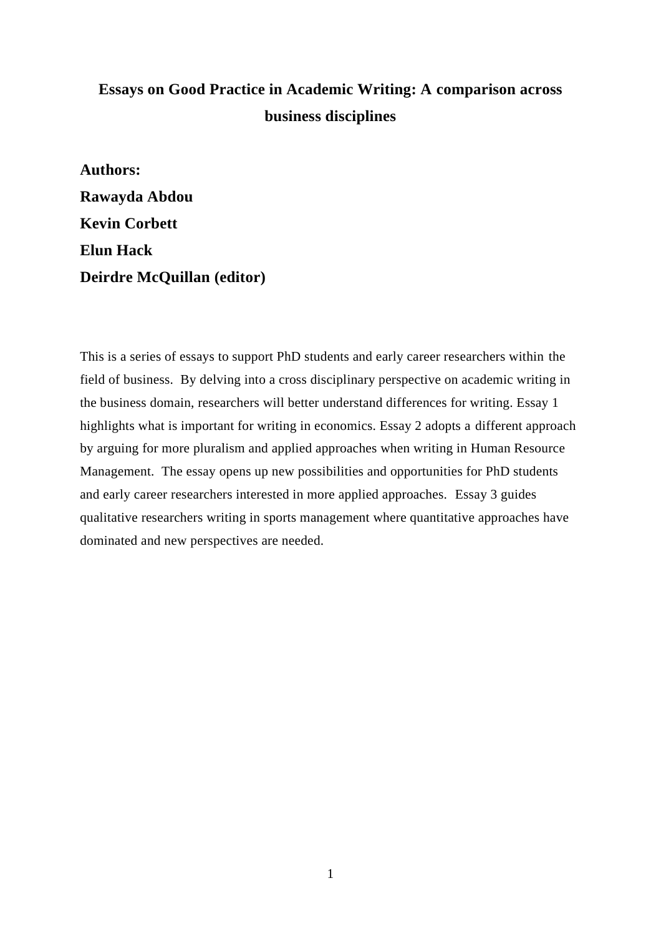# **Essays on Good Practice in Academic Writing: A comparison across business disciplines**

**Authors: Rawayda Abdou Kevin Corbett Elun Hack Deirdre McQuillan (editor)**

This is a series of essays to support PhD students and early career researchers within the field of business. By delving into a cross disciplinary perspective on academic writing in the business domain, researchers will better understand differences for writing. Essay 1 highlights what is important for writing in economics. Essay 2 adopts a different approach by arguing for more pluralism and applied approaches when writing in Human Resource Management. The essay opens up new possibilities and opportunities for PhD students and early career researchers interested in more applied approaches. Essay 3 guides qualitative researchers writing in sports management where quantitative approaches have dominated and new perspectives are needed.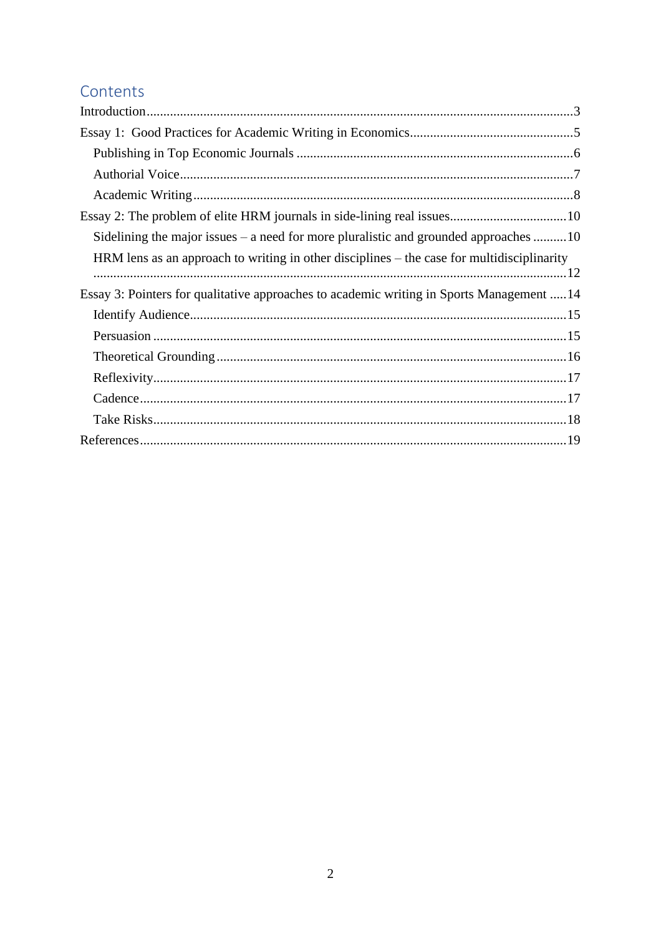# Contents

| Sidelining the major issues – a need for more pluralistic and grounded approaches 10       |
|--------------------------------------------------------------------------------------------|
| HRM lens as an approach to writing in other disciplines – the case for multidisciplinarity |
| Essay 3: Pointers for qualitative approaches to academic writing in Sports Management  14  |
|                                                                                            |
|                                                                                            |
|                                                                                            |
|                                                                                            |
|                                                                                            |
|                                                                                            |
|                                                                                            |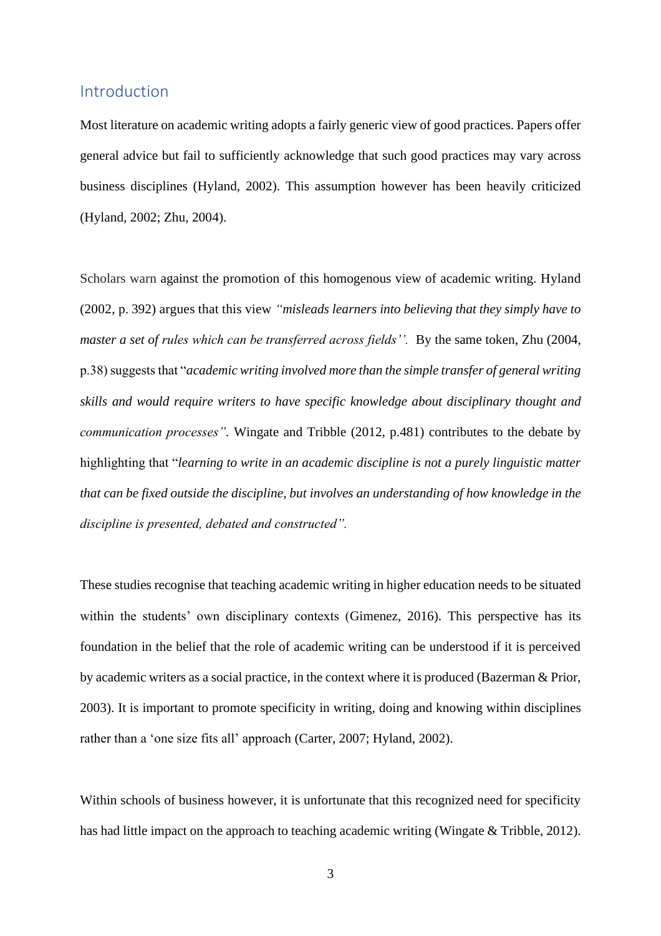#### <span id="page-4-0"></span>Introduction

Most literature on academic writing adopts a fairly generic view of good practices. Papers offer general advice but fail to sufficiently acknowledge that such good practices may vary across business disciplines (Hyland, 2002). This assumption however has been heavily criticized (Hyland, 2002; Zhu, 2004).

Scholars warn against the promotion of this homogenous view of academic writing. Hyland (2002, p. 392) argues that this view *"misleads learners into believing that they simply have to master a set of rules which can be transferred across fields''.* By the same token, Zhu (2004, p.38) suggests that "*academic writing involved more than the simple transfer of general writing skills and would require writers to have specific knowledge about disciplinary thought and communication processes".* Wingate and Tribble (2012, p.481) contributes to the debate by highlighting that "*learning to write in an academic discipline is not a purely linguistic matter that can be fixed outside the discipline, but involves an understanding of how knowledge in the discipline is presented, debated and constructed".*

These studies recognise that teaching academic writing in higher education needs to be situated within the students' own disciplinary contexts (Gimenez, 2016). This perspective has its foundation in the belief that the role of academic writing can be understood if it is perceived by academic writers as a social practice, in the context where it is produced (Bazerman & Prior, 2003). It is important to promote specificity in writing, doing and knowing within disciplines rather than a 'one size fits all' approach (Carter, 2007; Hyland, 2002).

Within schools of business however, it is unfortunate that this recognized need for specificity has had little impact on the approach to teaching academic writing (Wingate & Tribble, 2012).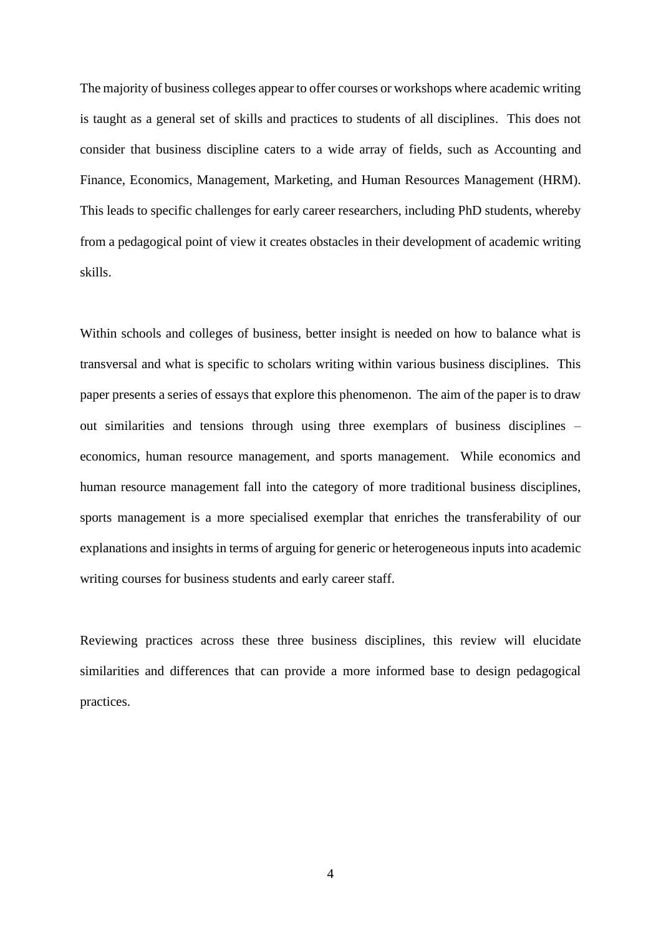The majority of business colleges appear to offer courses or workshops where academic writing is taught as a general set of skills and practices to students of all disciplines. This does not consider that business discipline caters to a wide array of fields, such as Accounting and Finance, Economics, Management, Marketing, and Human Resources Management (HRM). This leads to specific challenges for early career researchers, including PhD students, whereby from a pedagogical point of view it creates obstacles in their development of academic writing skills.

Within schools and colleges of business, better insight is needed on how to balance what is transversal and what is specific to scholars writing within various business disciplines. This paper presents a series of essays that explore this phenomenon. The aim of the paper is to draw out similarities and tensions through using three exemplars of business disciplines – economics, human resource management, and sports management. While economics and human resource management fall into the category of more traditional business disciplines, sports management is a more specialised exemplar that enriches the transferability of our explanations and insights in terms of arguing for generic or heterogeneous inputs into academic writing courses for business students and early career staff.

Reviewing practices across these three business disciplines, this review will elucidate similarities and differences that can provide a more informed base to design pedagogical practices.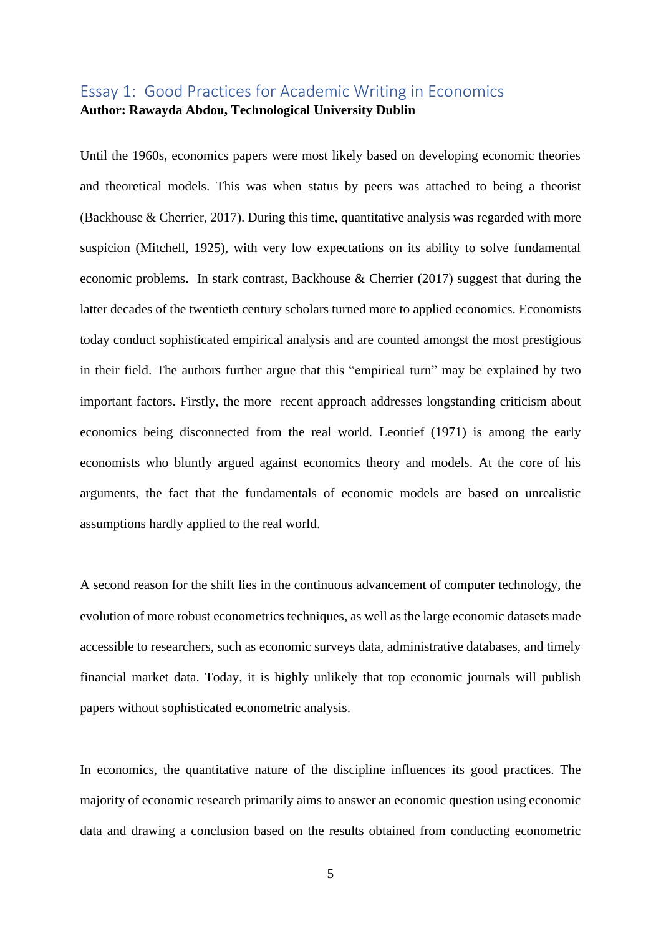## <span id="page-6-0"></span>Essay 1: Good Practices for Academic Writing in Economics **Author: Rawayda Abdou, Technological University Dublin**

Until the 1960s, economics papers were most likely based on developing economic theories and theoretical models. This was when status by peers was attached to being a theorist (Backhouse & Cherrier, 2017). During this time, quantitative analysis was regarded with more suspicion (Mitchell, 1925), with very low expectations on its ability to solve fundamental economic problems. In stark contrast, Backhouse & Cherrier (2017) suggest that during the latter decades of the twentieth century scholars turned more to applied economics. Economists today conduct sophisticated empirical analysis and are counted amongst the most prestigious in their field. The authors further argue that this "empirical turn" may be explained by two important factors. Firstly, the more recent approach addresses longstanding criticism about economics being disconnected from the real world. Leontief (1971) is among the early economists who bluntly argued against economics theory and models. At the core of his arguments, the fact that the fundamentals of economic models are based on unrealistic assumptions hardly applied to the real world.

A second reason for the shift lies in the continuous advancement of computer technology, the evolution of more robust econometrics techniques, as well as the large economic datasets made accessible to researchers, such as economic surveys data, administrative databases, and timely financial market data. Today, it is highly unlikely that top economic journals will publish papers without sophisticated econometric analysis.

In economics, the quantitative nature of the discipline influences its good practices. The majority of economic research primarily aims to answer an economic question using economic data and drawing a conclusion based on the results obtained from conducting econometric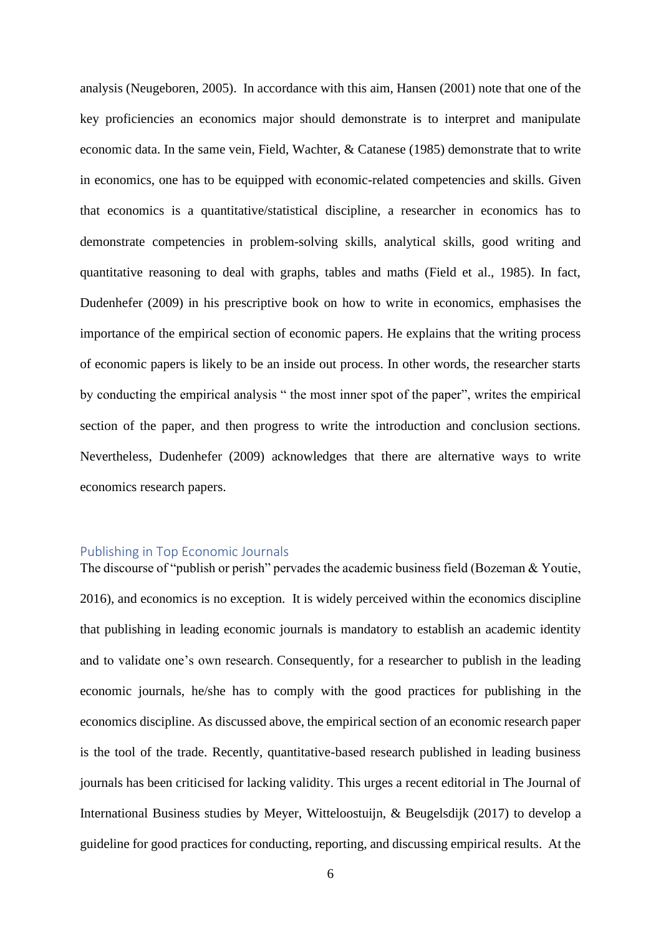analysis (Neugeboren, 2005). In accordance with this aim, Hansen (2001) note that one of the key proficiencies an economics major should demonstrate is to interpret and manipulate economic data. In the same vein, Field, Wachter, & Catanese (1985) demonstrate that to write in economics, one has to be equipped with economic-related competencies and skills. Given that economics is a quantitative/statistical discipline, a researcher in economics has to demonstrate competencies in problem-solving skills, analytical skills, good writing and quantitative reasoning to deal with graphs, tables and maths (Field et al., 1985). In fact, Dudenhefer (2009) in his prescriptive book on how to write in economics, emphasises the importance of the empirical section of economic papers. He explains that the writing process of economic papers is likely to be an inside out process. In other words, the researcher starts by conducting the empirical analysis " the most inner spot of the paper", writes the empirical section of the paper, and then progress to write the introduction and conclusion sections. Nevertheless, Dudenhefer (2009) acknowledges that there are alternative ways to write economics research papers.

#### <span id="page-7-0"></span>Publishing in Top Economic Journals

The discourse of "publish or perish" pervades the academic business field (Bozeman & Youtie, 2016), and economics is no exception. It is widely perceived within the economics discipline that publishing in leading economic journals is mandatory to establish an academic identity and to validate one's own research. Consequently, for a researcher to publish in the leading economic journals, he/she has to comply with the good practices for publishing in the economics discipline. As discussed above, the empirical section of an economic research paper is the tool of the trade. Recently, quantitative-based research published in leading business journals has been criticised for lacking validity. This urges a recent editorial in The Journal of International Business studies by Meyer, Witteloostuijn, & Beugelsdijk (2017) to develop a guideline for good practices for conducting, reporting, and discussing empirical results. At the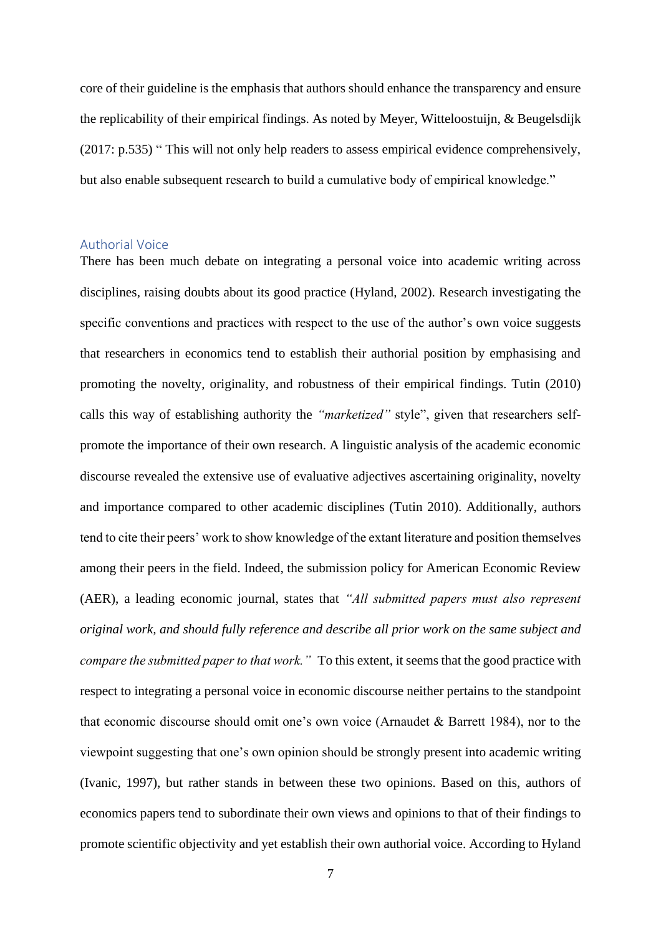core of their guideline is the emphasis that authors should enhance the transparency and ensure the replicability of their empirical findings. As noted by Meyer, Witteloostuijn, & Beugelsdijk (2017: p.535) " This will not only help readers to assess empirical evidence comprehensively, but also enable subsequent research to build a cumulative body of empirical knowledge."

#### <span id="page-8-0"></span>Authorial Voice

There has been much debate on integrating a personal voice into academic writing across disciplines, raising doubts about its good practice (Hyland, 2002). Research investigating the specific conventions and practices with respect to the use of the author's own voice suggests that researchers in economics tend to establish their authorial position by emphasising and promoting the novelty, originality, and robustness of their empirical findings. Tutin (2010) calls this way of establishing authority the *"marketized"* style", given that researchers selfpromote the importance of their own research. A linguistic analysis of the academic economic discourse revealed the extensive use of evaluative adjectives ascertaining originality, novelty and importance compared to other academic disciplines (Tutin 2010). Additionally, authors tend to cite their peers' work to show knowledge of the extant literature and position themselves among their peers in the field. Indeed, the submission policy for American Economic Review (AER), a leading economic journal, states that *"All submitted papers must also represent original work, and should fully reference and describe all prior work on the same subject and compare the submitted paper to that work."* To this extent, it seems that the good practice with respect to integrating a personal voice in economic discourse neither pertains to the standpoint that economic discourse should omit one's own voice (Arnaudet & Barrett 1984), nor to the viewpoint suggesting that one's own opinion should be strongly present into academic writing (Ivanic, 1997), but rather stands in between these two opinions. Based on this, authors of economics papers tend to subordinate their own views and opinions to that of their findings to promote scientific objectivity and yet establish their own authorial voice. According to Hyland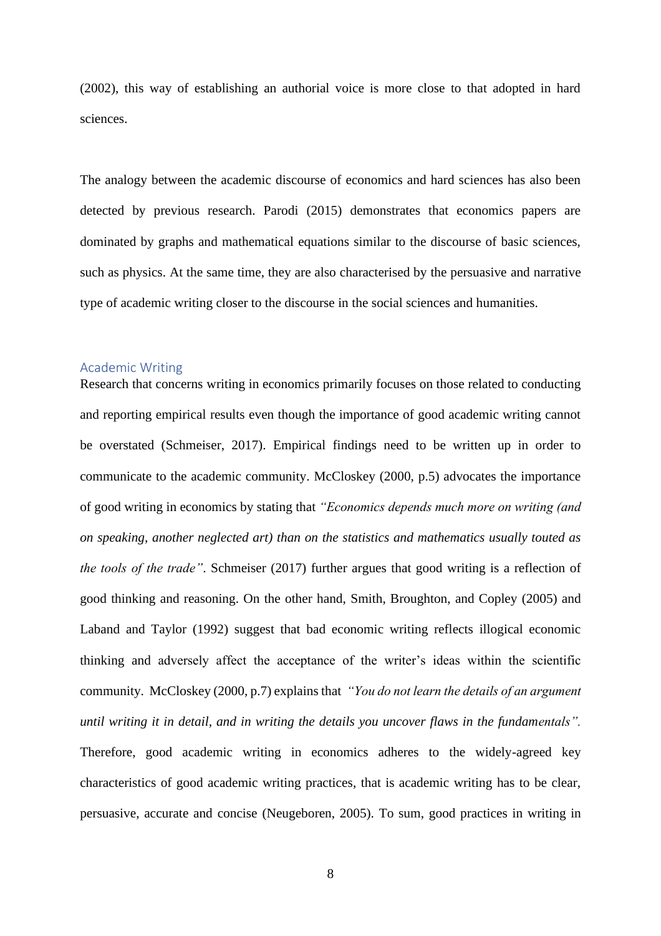(2002), this way of establishing an authorial voice is more close to that adopted in hard sciences.

The analogy between the academic discourse of economics and hard sciences has also been detected by previous research. Parodi (2015) demonstrates that economics papers are dominated by graphs and mathematical equations similar to the discourse of basic sciences, such as physics. At the same time, they are also characterised by the persuasive and narrative type of academic writing closer to the discourse in the social sciences and humanities.

#### <span id="page-9-0"></span>Academic Writing

Research that concerns writing in economics primarily focuses on those related to conducting and reporting empirical results even though the importance of good academic writing cannot be overstated (Schmeiser, 2017). Empirical findings need to be written up in order to communicate to the academic community. McCloskey (2000, p.5) advocates the importance of good writing in economics by stating that *"Economics depends much more on writing (and on speaking, another neglected art) than on the statistics and mathematics usually touted as the tools of the trade"*. Schmeiser (2017) further argues that good writing is a reflection of good thinking and reasoning. On the other hand, Smith, Broughton, and Copley (2005) and Laband and Taylor (1992) suggest that bad economic writing reflects illogical economic thinking and adversely affect the acceptance of the writer's ideas within the scientific community. McCloskey (2000, p.7) explains that *"You do not learn the details of an argument until writing it in detail, and in writing the details you uncover flaws in the fundamentals".* Therefore, good academic writing in economics adheres to the widely-agreed key characteristics of good academic writing practices, that is academic writing has to be clear, persuasive, accurate and concise (Neugeboren, 2005). To sum, good practices in writing in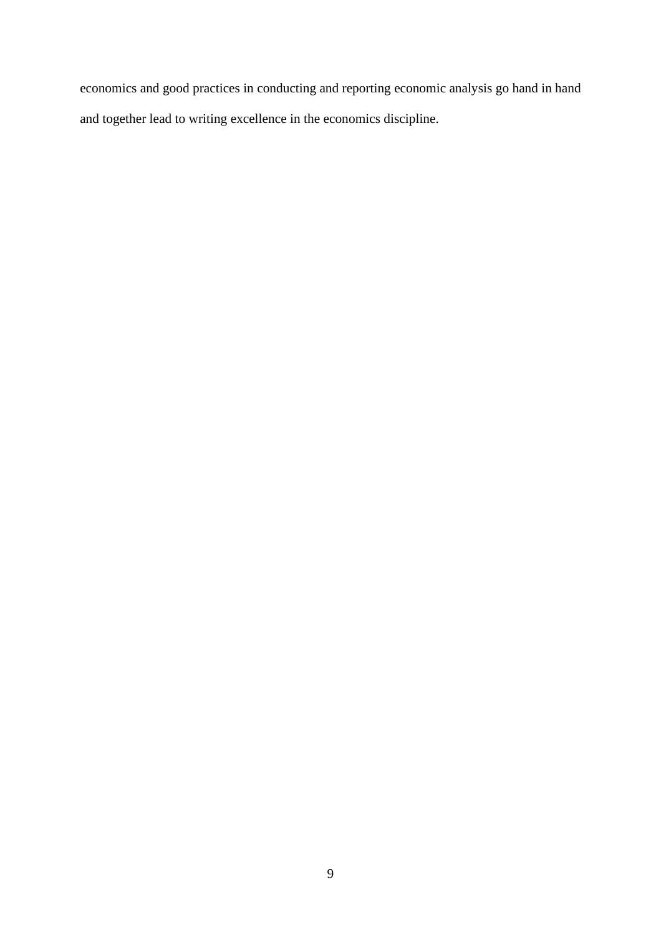economics and good practices in conducting and reporting economic analysis go hand in hand and together lead to writing excellence in the economics discipline.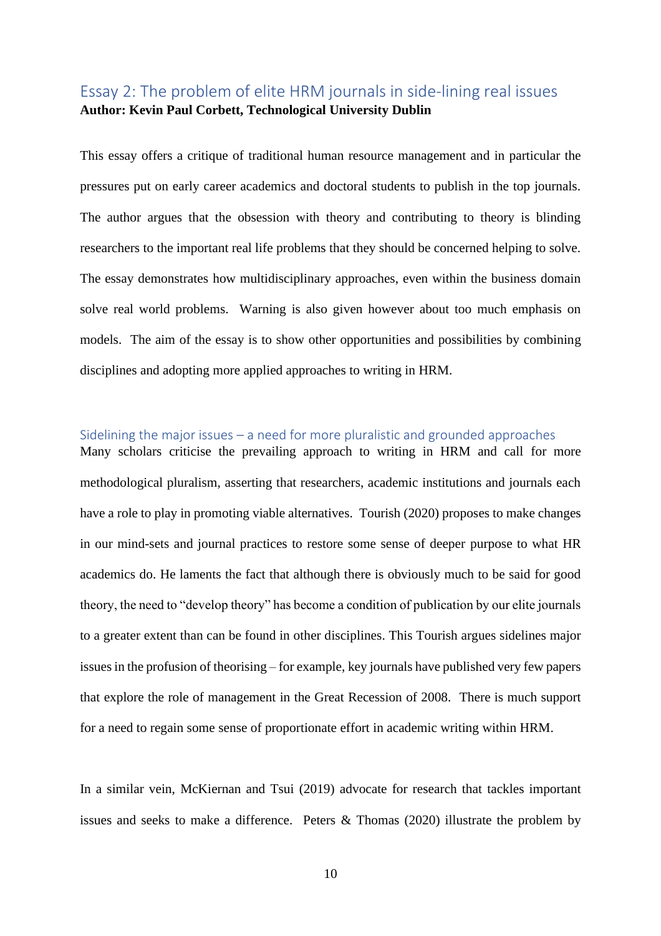## <span id="page-11-0"></span>Essay 2: The problem of elite HRM journals in side-lining real issues **Author: Kevin Paul Corbett, Technological University Dublin**

This essay offers a critique of traditional human resource management and in particular the pressures put on early career academics and doctoral students to publish in the top journals. The author argues that the obsession with theory and contributing to theory is blinding researchers to the important real life problems that they should be concerned helping to solve. The essay demonstrates how multidisciplinary approaches, even within the business domain solve real world problems. Warning is also given however about too much emphasis on models. The aim of the essay is to show other opportunities and possibilities by combining disciplines and adopting more applied approaches to writing in HRM.

#### <span id="page-11-1"></span>Sidelining the major issues – a need for more pluralistic and grounded approaches

Many scholars criticise the prevailing approach to writing in HRM and call for more methodological pluralism, asserting that researchers, academic institutions and journals each have a role to play in promoting viable alternatives. Tourish (2020) proposes to make changes in our mind-sets and journal practices to restore some sense of deeper purpose to what HR academics do. He laments the fact that although there is obviously much to be said for good theory, the need to "develop theory" has become a condition of publication by our elite journals to a greater extent than can be found in other disciplines. This Tourish argues sidelines major issues in the profusion of theorising – for example, key journals have published very few papers that explore the role of management in the Great Recession of 2008. There is much support for a need to regain some sense of proportionate effort in academic writing within HRM.

In a similar vein, McKiernan and Tsui (2019) advocate for research that tackles important issues and seeks to make a difference. Peters & Thomas (2020) illustrate the problem by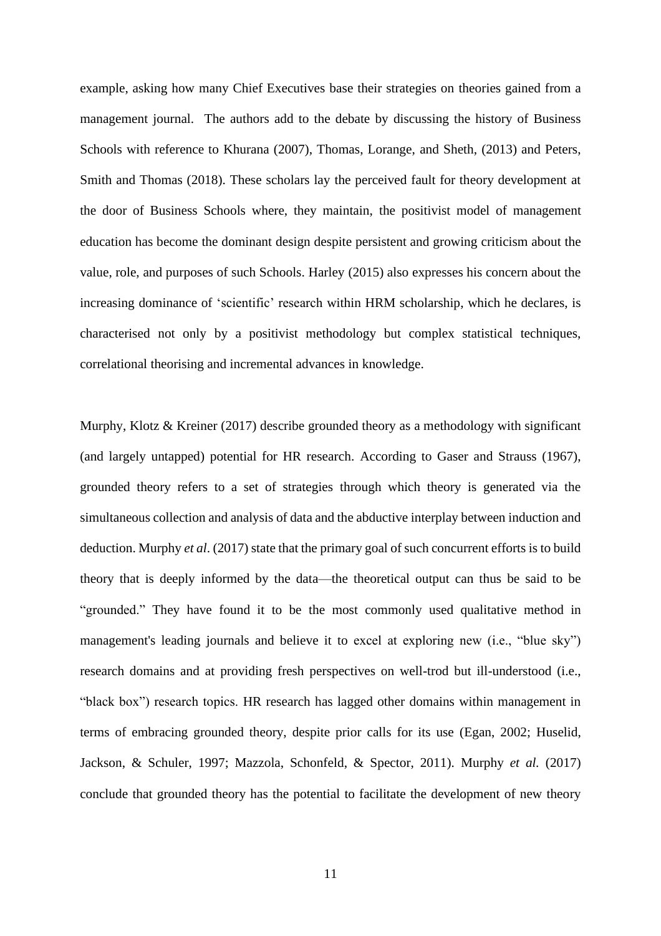example, asking how many Chief Executives base their strategies on theories gained from a management journal. The authors add to the debate by discussing the history of Business Schools with reference to Khurana (2007), Thomas, Lorange, and Sheth, (2013) and Peters, Smith and Thomas (2018). These scholars lay the perceived fault for theory development at the door of Business Schools where, they maintain, the positivist model of management education has become the dominant design despite persistent and growing criticism about the value, role, and purposes of such Schools. Harley (2015) also expresses his concern about the increasing dominance of 'scientific' research within HRM scholarship, which he declares, is characterised not only by a positivist methodology but complex statistical techniques, correlational theorising and incremental advances in knowledge.

Murphy, Klotz & Kreiner (2017) describe grounded theory as a methodology with significant (and largely untapped) potential for HR research. According to Gaser and Strauss (1967), grounded theory refers to a set of strategies through which theory is generated via the simultaneous collection and analysis of data and the abductive interplay between induction and deduction. Murphy *et al*. (2017) state that the primary goal of such concurrent efforts is to build theory that is deeply informed by the data—the theoretical output can thus be said to be "grounded." They have found it to be the most commonly used qualitative method in management's leading journals and believe it to excel at exploring new (i.e., "blue sky") research domains and at providing fresh perspectives on well-trod but ill-understood (i.e., "black box") research topics. HR research has lagged other domains within management in terms of embracing grounded theory, despite prior calls for its use (Egan, 2002; Huselid, Jackson, & Schuler, 1997; Mazzola, Schonfeld, & Spector, 2011). Murphy *et al.* (2017) conclude that grounded theory has the potential to facilitate the development of new theory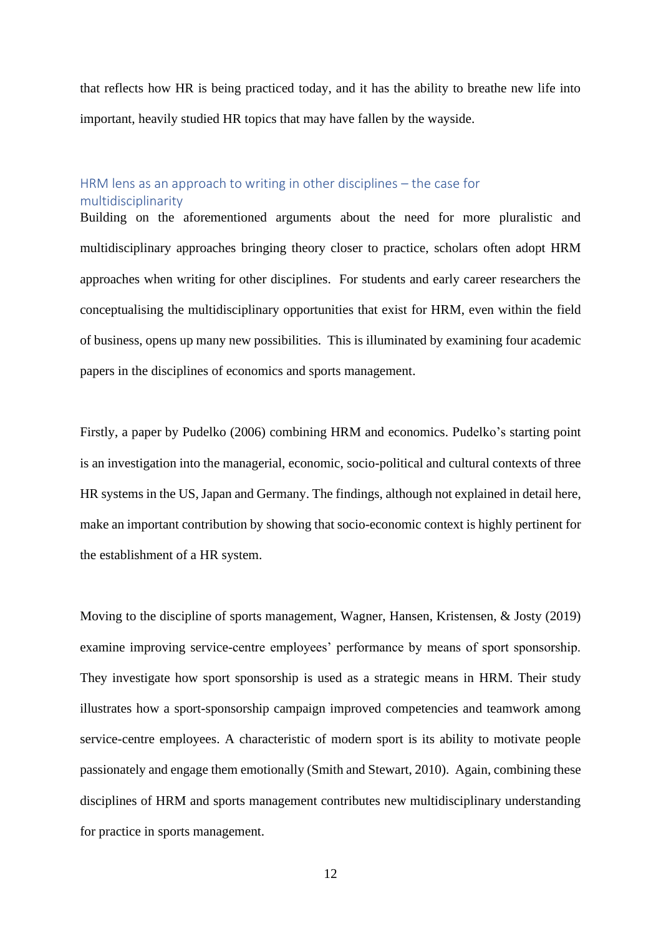that reflects how HR is being practiced today, and it has the ability to breathe new life into important, heavily studied HR topics that may have fallen by the wayside.

#### <span id="page-13-0"></span>HRM lens as an approach to writing in other disciplines – the case for multidisciplinarity

Building on the aforementioned arguments about the need for more pluralistic and multidisciplinary approaches bringing theory closer to practice, scholars often adopt HRM approaches when writing for other disciplines. For students and early career researchers the conceptualising the multidisciplinary opportunities that exist for HRM, even within the field of business, opens up many new possibilities. This is illuminated by examining four academic papers in the disciplines of economics and sports management.

Firstly, a paper by Pudelko (2006) combining HRM and economics. Pudelko's starting point is an investigation into the managerial, economic, socio-political and cultural contexts of three HR systems in the US, Japan and Germany. The findings, although not explained in detail here, make an important contribution by showing that socio-economic context is highly pertinent for the establishment of a HR system.

Moving to the discipline of sports management, Wagner, Hansen, Kristensen, & Josty (2019) examine improving service-centre employees' performance by means of sport sponsorship. They investigate how sport sponsorship is used as a strategic means in HRM. Their study illustrates how a sport-sponsorship campaign improved competencies and teamwork among service-centre employees. A characteristic of modern sport is its ability to motivate people passionately and engage them emotionally (Smith and Stewart, 2010). Again, combining these disciplines of HRM and sports management contributes new multidisciplinary understanding for practice in sports management.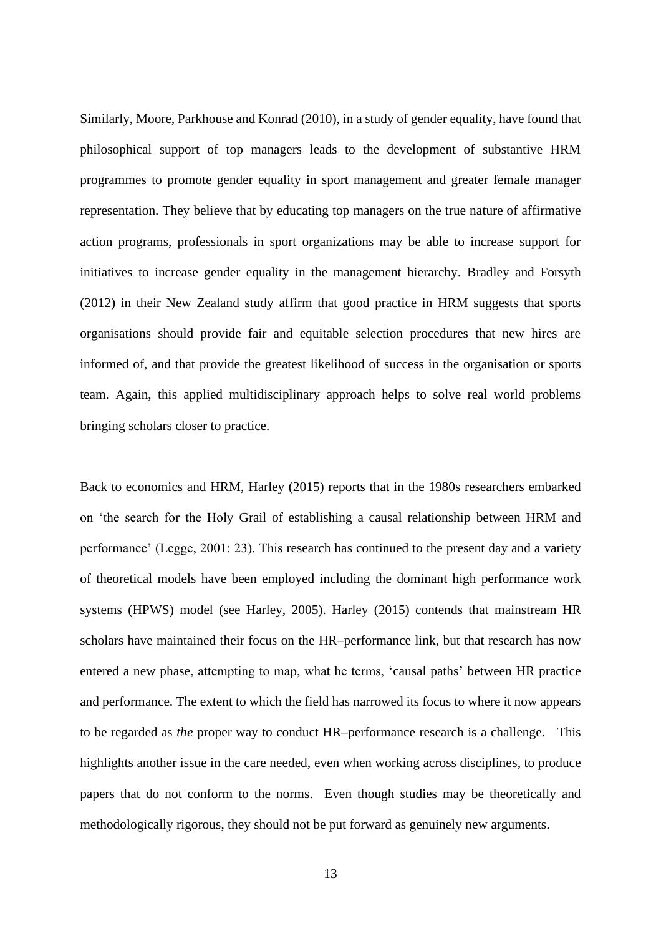Similarly, Moore, Parkhouse and Konrad (2010), in a study of gender equality, have found that philosophical support of top managers leads to the development of substantive HRM programmes to promote gender equality in sport management and greater female manager representation. They believe that by educating top managers on the true nature of affirmative action programs, professionals in sport organizations may be able to increase support for initiatives to increase gender equality in the management hierarchy. Bradley and Forsyth (2012) in their New Zealand study affirm that good practice in HRM suggests that sports organisations should provide fair and equitable selection procedures that new hires are informed of, and that provide the greatest likelihood of success in the organisation or sports team. Again, this applied multidisciplinary approach helps to solve real world problems bringing scholars closer to practice.

Back to economics and HRM, Harley (2015) reports that in the 1980s researchers embarked on 'the search for the Holy Grail of establishing a causal relationship between HRM and performance' (Legge, 2001: 23). This research has continued to the present day and a variety of theoretical models have been employed including the dominant high performance work systems (HPWS) model (see Harley, 2005). Harley (2015) contends that mainstream HR scholars have maintained their focus on the HR–performance link, but that research has now entered a new phase, attempting to map, what he terms, 'causal paths' between HR practice and performance. The extent to which the field has narrowed its focus to where it now appears to be regarded as *the* proper way to conduct HR–performance research is a challenge. This highlights another issue in the care needed, even when working across disciplines, to produce papers that do not conform to the norms. Even though studies may be theoretically and methodologically rigorous, they should not be put forward as genuinely new arguments.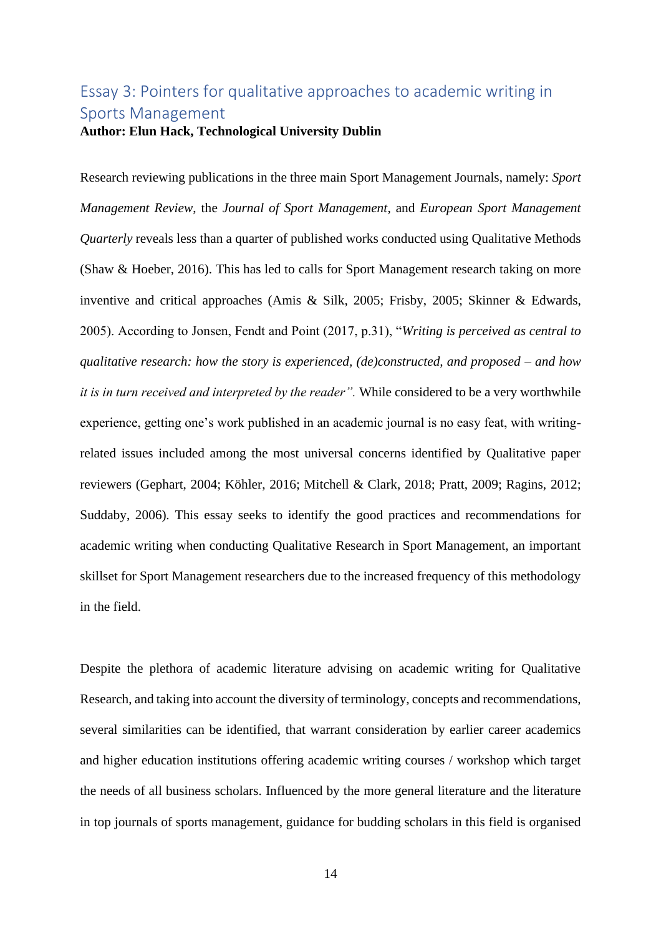# <span id="page-15-0"></span>Essay 3: Pointers for qualitative approaches to academic writing in Sports Management **Author: Elun Hack, Technological University Dublin**

Research reviewing publications in the three main Sport Management Journals, namely: *Sport Management Review*, the *Journal of Sport Management*, and *European Sport Management Quarterly* reveals less than a quarter of published works conducted using Qualitative Methods (Shaw & Hoeber, 2016). This has led to calls for Sport Management research taking on more inventive and critical approaches (Amis & Silk, 2005; Frisby, 2005; Skinner & Edwards, 2005). According to Jonsen, Fendt and Point (2017, p.31), "*Writing is perceived as central to qualitative research: how the story is experienced, (de)constructed, and proposed – and how it is in turn received and interpreted by the reader".* While considered to be a very worthwhile experience, getting one's work published in an academic journal is no easy feat, with writingrelated issues included among the most universal concerns identified by Qualitative paper reviewers (Gephart, 2004; Köhler, 2016; Mitchell & Clark, 2018; Pratt, 2009; Ragins, 2012; Suddaby, 2006)*.* This essay seeks to identify the good practices and recommendations for academic writing when conducting Qualitative Research in Sport Management, an important skillset for Sport Management researchers due to the increased frequency of this methodology in the field.

Despite the plethora of academic literature advising on academic writing for Qualitative Research, and taking into account the diversity of terminology, concepts and recommendations, several similarities can be identified, that warrant consideration by earlier career academics and higher education institutions offering academic writing courses / workshop which target the needs of all business scholars. Influenced by the more general literature and the literature in top journals of sports management, guidance for budding scholars in this field is organised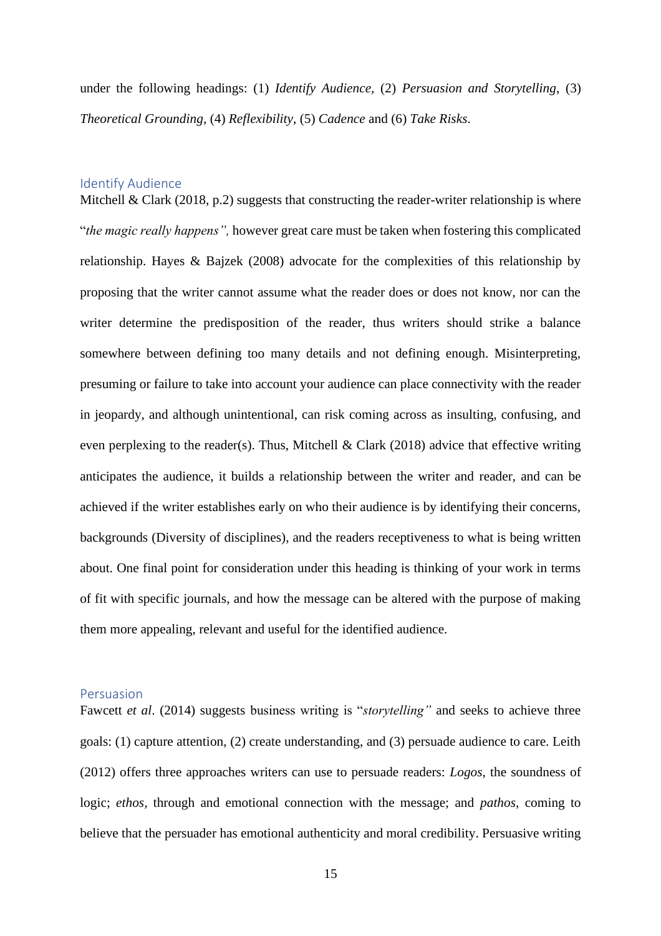under the following headings: (1) *Identify Audience,* (2) *Persuasion and Storytelling*, (3) *Theoretical Grounding*, (4) *Reflexibility*, (5) *Cadence* and (6) *Take Risks*.

#### <span id="page-16-0"></span>Identify Audience

Mitchell & Clark (2018, p.2) suggests that constructing the reader-writer relationship is where "*the magic really happens",* however great care must be taken when fostering this complicated relationship. Hayes & Bajzek (2008) advocate for the complexities of this relationship by proposing that the writer cannot assume what the reader does or does not know, nor can the writer determine the predisposition of the reader, thus writers should strike a balance somewhere between defining too many details and not defining enough. Misinterpreting, presuming or failure to take into account your audience can place connectivity with the reader in jeopardy, and although unintentional, can risk coming across as insulting, confusing, and even perplexing to the reader(s). Thus, Mitchell & Clark (2018) advice that effective writing anticipates the audience, it builds a relationship between the writer and reader, and can be achieved if the writer establishes early on who their audience is by identifying their concerns, backgrounds (Diversity of disciplines), and the readers receptiveness to what is being written about. One final point for consideration under this heading is thinking of your work in terms of fit with specific journals, and how the message can be altered with the purpose of making them more appealing, relevant and useful for the identified audience.

#### <span id="page-16-1"></span>Persuasion

Fawcett *et al*. (2014) suggests business writing is "*storytelling"* and seeks to achieve three goals: (1) capture attention, (2) create understanding, and (3) persuade audience to care. Leith (2012) offers three approaches writers can use to persuade readers: *Logos,* the soundness of logic; *ethos*, through and emotional connection with the message; and *pathos*, coming to believe that the persuader has emotional authenticity and moral credibility. Persuasive writing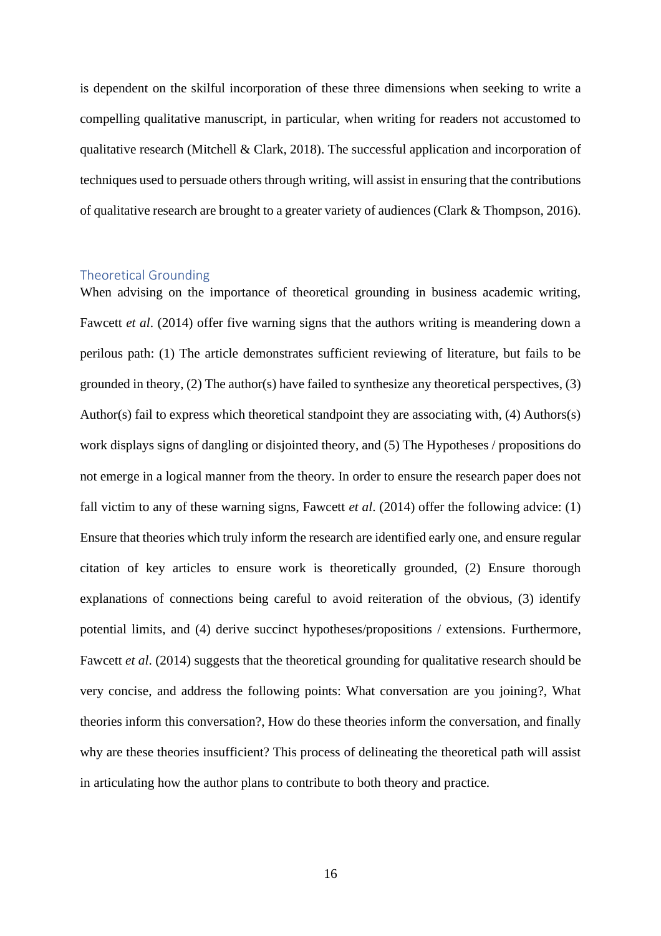is dependent on the skilful incorporation of these three dimensions when seeking to write a compelling qualitative manuscript, in particular, when writing for readers not accustomed to qualitative research (Mitchell & Clark, 2018). The successful application and incorporation of techniques used to persuade others through writing, will assist in ensuring that the contributions of qualitative research are brought to a greater variety of audiences (Clark & Thompson, 2016).

#### <span id="page-17-0"></span>Theoretical Grounding

When advising on the importance of theoretical grounding in business academic writing, Fawcett *et al*. (2014) offer five warning signs that the authors writing is meandering down a perilous path: (1) The article demonstrates sufficient reviewing of literature, but fails to be grounded in theory, (2) The author(s) have failed to synthesize any theoretical perspectives, (3) Author(s) fail to express which theoretical standpoint they are associating with, (4) Authors(s) work displays signs of dangling or disjointed theory, and (5) The Hypotheses / propositions do not emerge in a logical manner from the theory. In order to ensure the research paper does not fall victim to any of these warning signs, Fawcett *et al*. (2014) offer the following advice: (1) Ensure that theories which truly inform the research are identified early one, and ensure regular citation of key articles to ensure work is theoretically grounded, (2) Ensure thorough explanations of connections being careful to avoid reiteration of the obvious, (3) identify potential limits, and (4) derive succinct hypotheses/propositions / extensions. Furthermore, Fawcett *et al*. (2014) suggests that the theoretical grounding for qualitative research should be very concise, and address the following points: What conversation are you joining?, What theories inform this conversation?, How do these theories inform the conversation, and finally why are these theories insufficient? This process of delineating the theoretical path will assist in articulating how the author plans to contribute to both theory and practice.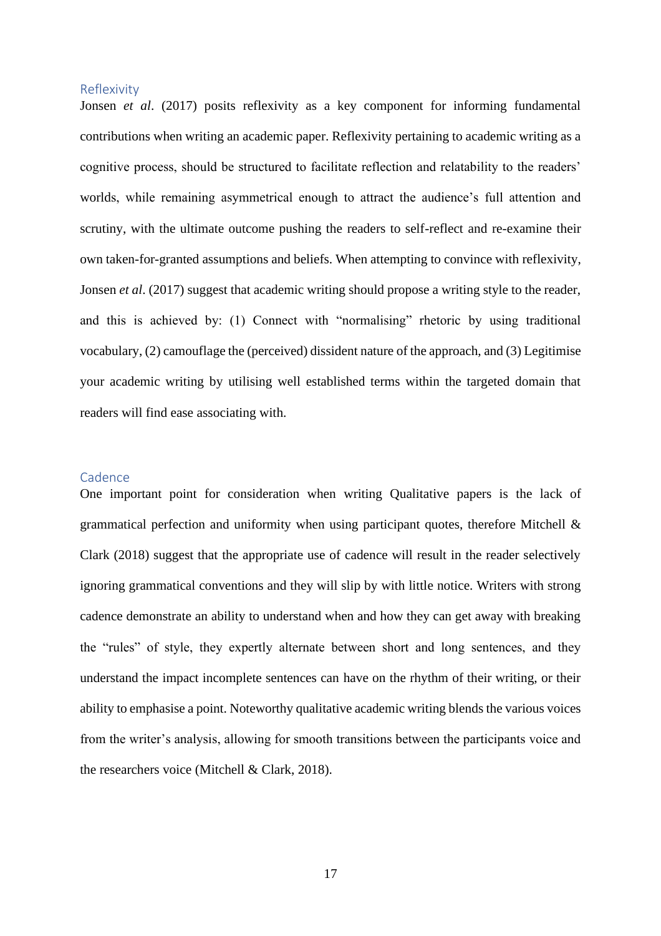#### <span id="page-18-0"></span>Reflexivity

Jonsen *et al*. (2017) posits reflexivity as a key component for informing fundamental contributions when writing an academic paper. Reflexivity pertaining to academic writing as a cognitive process, should be structured to facilitate reflection and relatability to the readers' worlds, while remaining asymmetrical enough to attract the audience's full attention and scrutiny, with the ultimate outcome pushing the readers to self-reflect and re-examine their own taken-for-granted assumptions and beliefs. When attempting to convince with reflexivity, Jonsen *et al*. (2017) suggest that academic writing should propose a writing style to the reader, and this is achieved by: (1) Connect with "normalising" rhetoric by using traditional vocabulary, (2) camouflage the (perceived) dissident nature of the approach, and (3) Legitimise your academic writing by utilising well established terms within the targeted domain that readers will find ease associating with.

#### <span id="page-18-1"></span>Cadence

One important point for consideration when writing Qualitative papers is the lack of grammatical perfection and uniformity when using participant quotes, therefore Mitchell & Clark (2018) suggest that the appropriate use of cadence will result in the reader selectively ignoring grammatical conventions and they will slip by with little notice. Writers with strong cadence demonstrate an ability to understand when and how they can get away with breaking the "rules" of style, they expertly alternate between short and long sentences, and they understand the impact incomplete sentences can have on the rhythm of their writing, or their ability to emphasise a point. Noteworthy qualitative academic writing blends the various voices from the writer's analysis, allowing for smooth transitions between the participants voice and the researchers voice (Mitchell & Clark, 2018).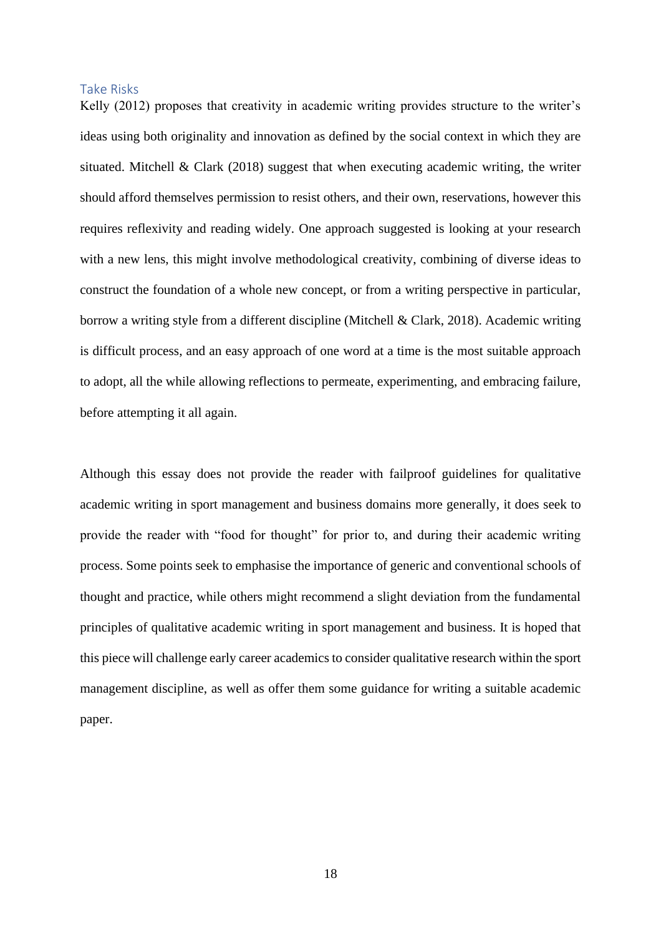#### <span id="page-19-0"></span>Take Risks

Kelly (2012) proposes that creativity in academic writing provides structure to the writer's ideas using both originality and innovation as defined by the social context in which they are situated. Mitchell & Clark (2018) suggest that when executing academic writing, the writer should afford themselves permission to resist others, and their own, reservations, however this requires reflexivity and reading widely. One approach suggested is looking at your research with a new lens, this might involve methodological creativity, combining of diverse ideas to construct the foundation of a whole new concept, or from a writing perspective in particular, borrow a writing style from a different discipline (Mitchell & Clark, 2018). Academic writing is difficult process, and an easy approach of one word at a time is the most suitable approach to adopt, all the while allowing reflections to permeate, experimenting, and embracing failure, before attempting it all again.

Although this essay does not provide the reader with failproof guidelines for qualitative academic writing in sport management and business domains more generally, it does seek to provide the reader with "food for thought" for prior to, and during their academic writing process. Some points seek to emphasise the importance of generic and conventional schools of thought and practice, while others might recommend a slight deviation from the fundamental principles of qualitative academic writing in sport management and business. It is hoped that this piece will challenge early career academics to consider qualitative research within the sport management discipline, as well as offer them some guidance for writing a suitable academic paper.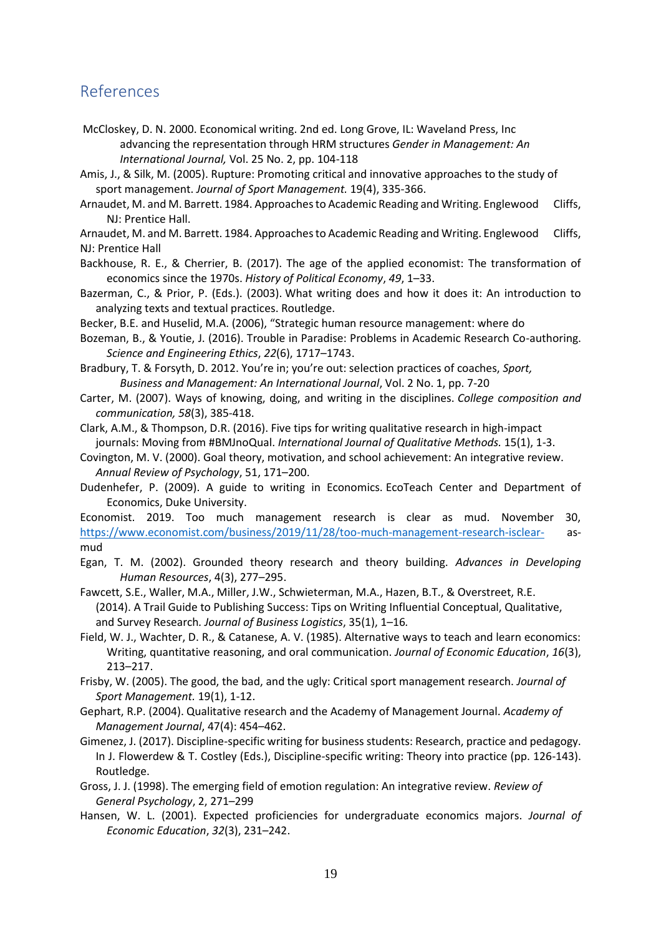### <span id="page-20-0"></span>References

- McCloskey, D. N. 2000. Economical writing. 2nd ed. Long Grove, IL: Waveland Press, Inc advancing the representation through HRM structures *Gender in Management: An International Journal,* Vol. 25 No. 2, pp. 104-118
- Amis, J., & Silk, M. (2005). Rupture: Promoting critical and innovative approaches to the study of sport management. *Journal of Sport Management.* 19(4), 335-366.
- Arnaudet, M. and M. Barrett. 1984. Approaches to Academic Reading and Writing. Englewood Cliffs, NJ: Prentice Hall.

Arnaudet, M. and M. Barrett. 1984. Approaches to Academic Reading and Writing. Englewood Cliffs, NJ: Prentice Hall

- Backhouse, R. E., & Cherrier, B. (2017). The age of the applied economist: The transformation of economics since the 1970s. *History of Political Economy*, *49*, 1–33.
- Bazerman, C., & Prior, P. (Eds.). (2003). What writing does and how it does it: An introduction to analyzing texts and textual practices. Routledge.
- Becker, B.E. and Huselid, M.A. (2006), "Strategic human resource management: where do
- Bozeman, B., & Youtie, J. (2016). Trouble in Paradise: Problems in Academic Research Co-authoring. *Science and Engineering Ethics*, *22*(6), 1717–1743.
- Bradbury, T. & Forsyth, D. 2012. You're in; you're out: selection practices of coaches, *Sport, Business and Management: An International Journal*, Vol. 2 No. 1, pp. 7-20
- Carter, M. (2007). Ways of knowing, doing, and writing in the disciplines. *College composition and communication, 58*(3), 385-418.
- Clark, A.M., & Thompson, D.R. (2016). Five tips for writing qualitative research in high-impact journals: Moving from #BMJnoQual. *International Journal of Qualitative Methods.* 15(1), 1-3.
- Covington, M. V. (2000). Goal theory, motivation, and school achievement: An integrative review. *Annual Review of Psychology*, 51, 171–200.
- Dudenhefer, P. (2009). A guide to writing in Economics. EcoTeach Center and Department of Economics, Duke University.

Economist. 2019. Too much management research is clear as mud. November 30, <https://www.economist.com/business/2019/11/28/too-much-management-research-isclear-> asmud

- Egan, T. M. (2002). Grounded theory research and theory building. *Advances in Developing Human Resources*, 4(3), 277–295.
- Fawcett, S.E., Waller, M.A., Miller, J.W., Schwieterman, M.A., Hazen, B.T., & Overstreet, R.E. (2014). A Trail Guide to Publishing Success: Tips on Writing Influential Conceptual, Qualitative, and Survey Research*. Journal of Business Logistics*, 35(1), 1–16*.*
- Field, W. J., Wachter, D. R., & Catanese, A. V. (1985). Alternative ways to teach and learn economics: Writing, quantitative reasoning, and oral communication. *Journal of Economic Education*, *16*(3), 213–217.
- Frisby, W. (2005). The good, the bad, and the ugly: Critical sport management research. *Journal of Sport Management.* 19(1), 1-12.
- Gephart, R.P. (2004). Qualitative research and the Academy of Management Journal. *Academy of Management Journal*, 47(4): 454–462.
- Gimenez, J. (2017). Discipline-specific writing for business students: Research, practice and pedagogy. In J. Flowerdew & T. Costley (Eds.), Discipline-specific writing: Theory into practice (pp. 126-143). Routledge.
- Gross, J. J. (1998). The emerging field of emotion regulation: An integrative review. *Review of General Psychology*, 2, 271–299
- Hansen, W. L. (2001). Expected proficiencies for undergraduate economics majors. *Journal of Economic Education*, *32*(3), 231–242.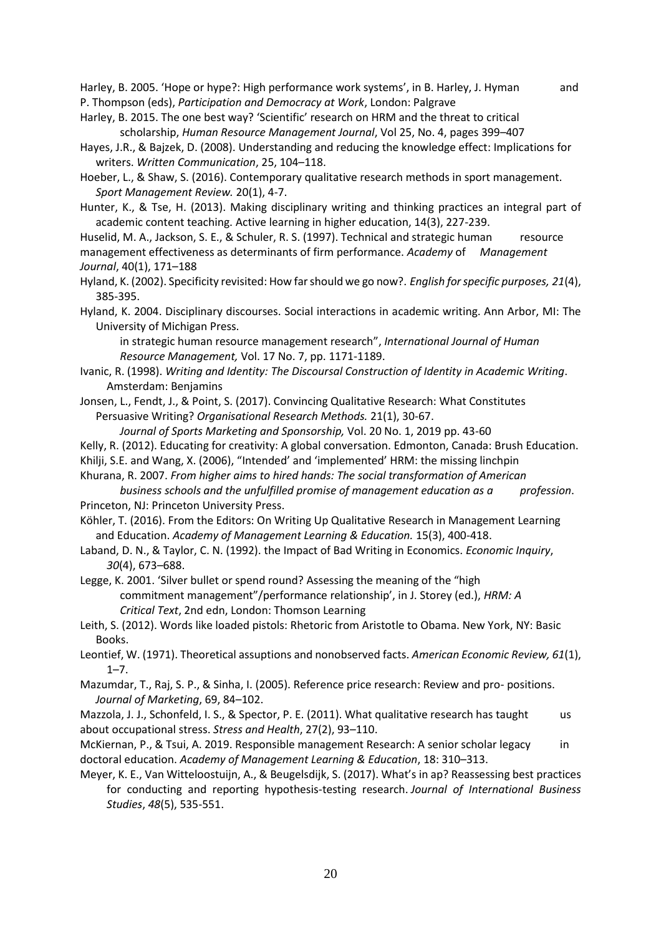Harley, B. 2005. 'Hope or hype?: High performance work systems', in B. Harley, J. Hyman and P. Thompson (eds), *Participation and Democracy at Work*, London: Palgrave

Harley, B. 2015. The one best way? 'Scientific' research on HRM and the threat to critical scholarship, *Human Resource Management Journal*, Vol 25, No. 4, pages 399–407

- Hayes, J.R., & Bajzek, D. (2008). Understanding and reducing the knowledge effect: Implications for writers. *Written Communication*, 25, 104–118.
- Hoeber, L., & Shaw, S. (2016). Contemporary qualitative research methods in sport management. *Sport Management Review.* 20(1), 4-7.
- Hunter, K., & Tse, H. (2013). Making disciplinary writing and thinking practices an integral part of academic content teaching. Active learning in higher education, 14(3), 227-239.
- Huselid, M. A., Jackson, S. E., & Schuler, R. S. (1997). Technical and strategic human resource management effectiveness as determinants of firm performance. *Academy* of *Management Journal*, 40(1), 171–188
- Hyland, K. (2002). Specificity revisited: How far should we go now?. *English for specific purposes, 21*(4), 385-395.
- Hyland, K. 2004. Disciplinary discourses. Social interactions in academic writing. Ann Arbor, MI: The University of Michigan Press.

in strategic human resource management research", *International Journal of Human Resource Management,* Vol. 17 No. 7, pp. 1171-1189.

- Ivanic, R. (1998). *Writing and Identity: The Discoursal Construction of Identity in Academic Writing*. Amsterdam: Benjamins
- Jonsen, L., Fendt, J., & Point, S. (2017). Convincing Qualitative Research: What Constitutes Persuasive Writing? *Organisational Research Methods.* 21(1), 30-67.

*Journal of Sports Marketing and Sponsorship,* Vol. 20 No. 1, 2019 pp. 43-60

Kelly, R. (2012). Educating for creativity: A global conversation. Edmonton, Canada: Brush Education.

Khilji, S.E. and Wang, X. (2006), "Intended' and 'implemented' HRM: the missing linchpin

Khurana, R. 2007. *From higher aims to hired hands: The social transformation of American* 

*business schools and the unfulfilled promise of management education as a profession*. Princeton, NJ: Princeton University Press.

- Köhler, T. (2016). From the Editors: On Writing Up Qualitative Research in Management Learning and Education. *Academy of Management Learning & Education.* 15(3), 400-418.
- Laband, D. N., & Taylor, C. N. (1992). the Impact of Bad Writing in Economics. *Economic Inquiry*, *30*(4), 673–688.

Legge, K. 2001. 'Silver bullet or spend round? Assessing the meaning of the "high commitment management"/performance relationship', in J. Storey (ed.), *HRM: A Critical Text*, 2nd edn, London: Thomson Learning

Leith, S. (2012). Words like loaded pistols: Rhetoric from Aristotle to Obama. New York, NY: Basic Books.

Leontief, W. (1971). Theoretical assuptions and nonobserved facts. *American Economic Review, 61*(1),  $1 - 7$ .

Mazumdar, T., Raj, S. P., & Sinha, I. (2005). Reference price research: Review and pro- positions. *Journal of Marketing*, 69, 84–102.

Mazzola, J. J., Schonfeld, I. S., & Spector, P. E. (2011). What qualitative research has taught us about occupational stress. *Stress and Health*, 27(2), 93–110.

McKiernan, P., & Tsui, A. 2019. Responsible management Research: A senior scholar legacy in doctoral education. *Academy of Management Learning & Education*, 18: 310–313.

Meyer, K. E., Van Witteloostuijn, A., & Beugelsdijk, S. (2017). What's in ap? Reassessing best practices for conducting and reporting hypothesis-testing research. *Journal of International Business Studies*, *48*(5), 535-551.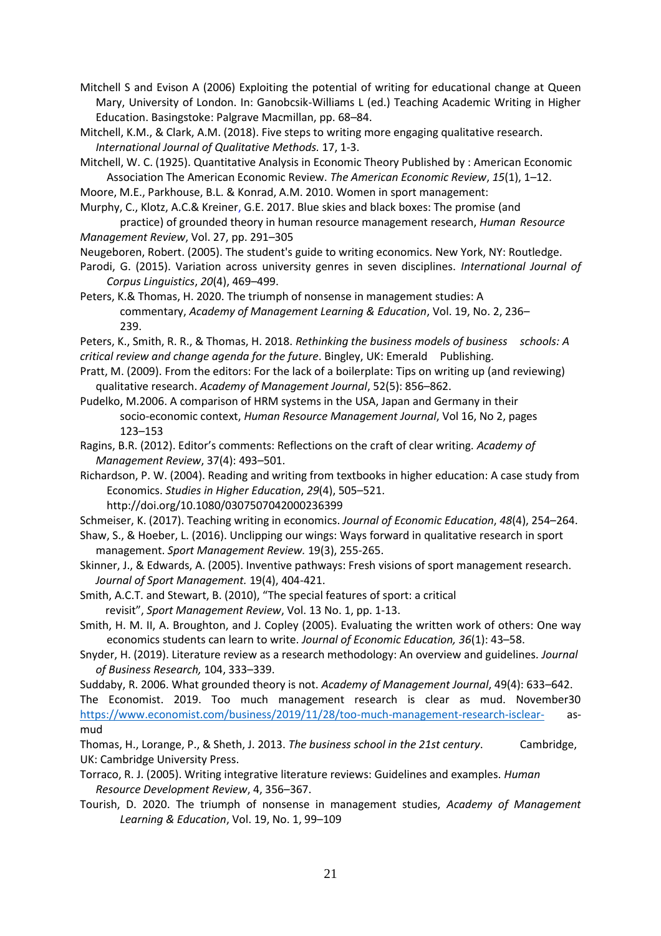Mitchell S and Evison A (2006) Exploiting the potential of writing for educational change at Queen Mary, University of London. In: Ganobcsik-Williams L (ed.) Teaching Academic Writing in Higher Education. Basingstoke: Palgrave Macmillan, pp. 68–84.

Mitchell, K.M., & Clark, A.M. (2018). Five steps to writing more engaging qualitative research. *International Journal of Qualitative Methods.* 17, 1-3.

Mitchell, W. C. (1925). Quantitative Analysis in Economic Theory Published by : American Economic Association The American Economic Review. *The American Economic Review*, *15*(1), 1–12.

Moore, M.E., Parkhouse, B.L. & Konrad, A.M. 2010. Women in sport management:

Murphy, C., Klotz, A.C.& Kreiner, G.E. 2017. Blue skies and black boxes: The promise (and practice) of grounded theory in human resource management research, *Human Resource Management Review*, Vol. 27, pp. 291–305

Neugeboren, Robert. (2005). The student's guide to writing economics. New York, NY: Routledge.

Parodi, G. (2015). Variation across university genres in seven disciplines. *International Journal of Corpus Linguistics*, *20*(4), 469–499.

Peters, K.& Thomas, H. 2020. The triumph of nonsense in management studies: A commentary, *Academy of Management Learning & Education*, Vol. 19, No. 2, 236– 239.

Peters, K., Smith, R. R., & Thomas, H. 2018. *Rethinking the business models of business schools: A critical review and change agenda for the future*. Bingley, UK: Emerald Publishing.

Pratt, M. (2009). From the editors: For the lack of a boilerplate: Tips on writing up (and reviewing) qualitative research. *Academy of Management Journal*, 52(5): 856–862.

Pudelko, M.2006. A comparison of HRM systems in the USA, Japan and Germany in their socio-economic context, *Human Resource Management Journal*, Vol 16, No 2, pages 123–153

Ragins, B.R. (2012). Editor's comments: Reflections on the craft of clear writing. *Academy of Management Review*, 37(4): 493–501.

Richardson, P. W. (2004). Reading and writing from textbooks in higher education: A case study from Economics. *Studies in Higher Education*, *29*(4), 505–521. http://doi.org/10.1080/0307507042000236399

Schmeiser, K. (2017). Teaching writing in economics. *Journal of Economic Education*, *48*(4), 254–264.

Shaw, S., & Hoeber, L. (2016). Unclipping our wings: Ways forward in qualitative research in sport management. *Sport Management Review.* 19(3), 255-265.

Skinner, J., & Edwards, A. (2005). Inventive pathways: Fresh visions of sport management research. *Journal of Sport Management.* 19(4), 404-421.

- Smith, A.C.T. and Stewart, B. (2010), "The special features of sport: a critical revisit", *Sport Management Review*, Vol. 13 No. 1, pp. 1-13.
- Smith, H. M. II, A. Broughton, and J. Copley (2005). Evaluating the written work of others: One way economics students can learn to write. *Journal of Economic Education, 36*(1): 43–58.

Snyder, H. (2019). Literature review as a research methodology: An overview and guidelines*. Journal of Business Research,* 104, 333–339.

Suddaby, R. 2006. What grounded theory is not. *Academy of Management Journal*, 49(4): 633–642. The Economist. 2019. Too much management research is clear as mud. November30 <https://www.economist.com/business/2019/11/28/too-much-management-research-isclear-> asmud

Thomas, H., Lorange, P., & Sheth, J. 2013. *The business school in the 21st century*. Cambridge, UK: Cambridge University Press.

Torraco, R. J. (2005). Writing integrative literature reviews: Guidelines and examples. *Human Resource Development Review*, 4, 356–367.

Tourish, D. 2020. The triumph of nonsense in management studies, *Academy of Management Learning & Education*, Vol. 19, No. 1, 99–109